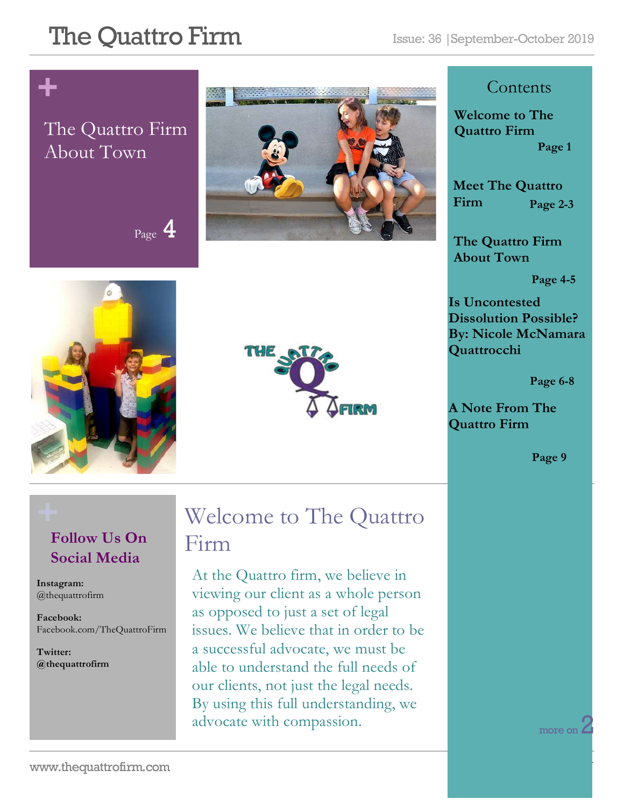$P_{\text{age}}$  4

# **+**

### The Quattro Firm About Town







#### **Contents**

**Welcome to The Quattro Firm Page 1**

**Meet The Quattro Firm Page 2-3**

**The Quattro Firm About Town**

**Page 4-5**

**Is Uncontested Dissolution Possible? By: Nicole McNamara Quattrocchi**

 **Page 6-8**

**A Note From The Quattro Firm** 

**Page 9**

### **Follow Us On Social Media**

**Instagram:**  @thequattrofirm

**Facebook:** Facebook.com/TheQuattroFirm

**Twitter: @thequattrofirm**

### **+** Welcome to The Quattro Firm

At the Quattro firm, we believe in viewing our client as a whole person as opposed to just a set of legal issues. We believe that in order to be a successful advocate, we must be able to understand the full needs of our clients, not just the legal needs. By using this full understanding, we advocate with compassion.

more on  $2$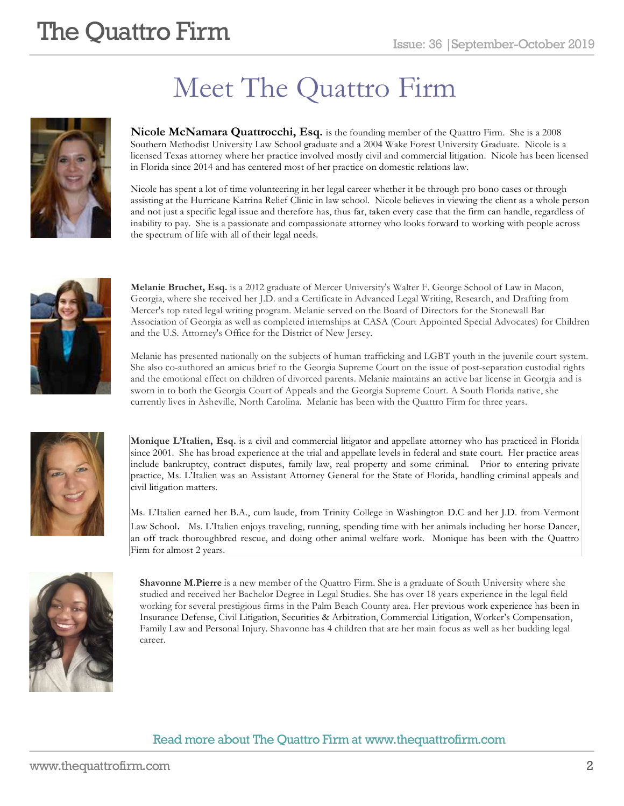# Meet The Quattro Firm



**Nicole McNamara Quattrocchi, Esq.** is the founding member of the Quattro Firm. She is a 2008 Southern Methodist University Law School graduate and a 2004 Wake Forest University Graduate. Nicole is a licensed Texas attorney where her practice involved mostly civil and commercial litigation. Nicole has been licensed in Florida since 2014 and has centered most of her practice on domestic relations law.

Nicole has spent a lot of time volunteering in her legal career whether it be through pro bono cases or through assisting at the Hurricane Katrina Relief Clinic in law school. Nicole believes in viewing the client as a whole person and not just a specific legal issue and therefore has, thus far, taken every case that the firm can handle, regardless of inability to pay. She is a passionate and compassionate attorney who looks forward to working with people across the spectrum of life with all of their legal needs.



**Melanie Bruchet, Esq.** is a 2012 graduate of Mercer University's Walter F. George School of Law in Macon, Georgia, where she received her J.D. and a Certificate in Advanced Legal Writing, Research, and Drafting from Mercer's top rated legal writing program. Melanie served on the Board of Directors for the Stonewall Bar Association of Georgia as well as completed internships at CASA (Court Appointed Special Advocates) for Children and the U.S. Attorney's Office for the District of New Jersey.

Melanie has presented nationally on the subjects of human trafficking and LGBT youth in the juvenile court system. She also co-authored an amicus brief to the Georgia Supreme Court on the issue of post-separation custodial rights and the emotional effect on children of divorced parents. Melanie maintains an active bar license in Georgia and is sworn in to both the Georgia Court of Appeals and the Georgia Supreme Court. A South Florida native, she currently lives in Asheville, North Carolina. Melanie has been with the Quattro Firm for three years.



**Monique L'Italien, Esq.** is a civil and commercial litigator and appellate attorney who has practiced in Florida since 2001. She has broad experience at the trial and appellate levels in federal and state court. Her practice areas include bankruptcy, contract disputes, family law, real property and some criminal. Prior to entering private practice, Ms. L'Italien was an Assistant Attorney General for the State of Florida, handling criminal appeals and civil litigation matters.

Ms. L'Italien earned her B.A., cum laude, from Trinity College in Washington D.C and her J.D. from Vermont Law School. Ms. L'Italien enjoys traveling, running, spending time with her animals including her horse Dancer, an off track thoroughbred rescue, and doing other animal welfare work. Monique has been with the Quattro Firm for almost 2 years.



**Shavonne M.Pierre** is a new member of the Quattro Firm. She is a graduate of South University where she studied and received her Bachelor Degree in Legal Studies. She has over 18 years experience in the legal field working for several prestigious firms in the Palm Beach County area. Her previous work experience has been in Insurance Defense, Civil Litigation, Securities & Arbitration, Commercial Litigation, Worker's Compensation, Family Law and Personal Injury. Shavonne has 4 children that are her main focus as well as her budding legal career.

#### Read more about The Quattro Firm at www.thequattrofirm.com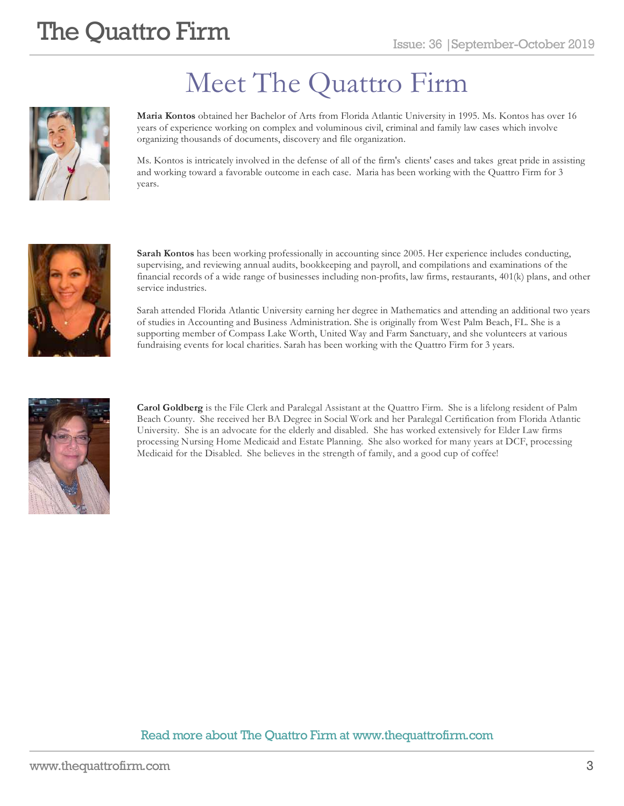

# Meet The Quattro Firm

**Maria Kontos** obtained her Bachelor of Arts from Florida Atlantic University in 1995. Ms. Kontos has over 16 years of experience working on complex and voluminous civil, criminal and family law cases which involve organizing thousands of documents, discovery and file organization.

Ms. Kontos is intricately involved in the defense of all of the firm's clients' cases and takes great pride in assisting and working toward a favorable outcome in each case. Maria has been working with the Quattro Firm for 3 years.



**Sarah Kontos** has been working professionally in accounting since 2005. Her experience includes conducting, supervising, and reviewing annual audits, bookkeeping and payroll, and compilations and examinations of the financial records of a wide range of businesses including non-profits, law firms, restaurants, 401(k) plans, and other service industries.

Sarah attended Florida Atlantic University earning her degree in Mathematics and attending an additional two years of studies in Accounting and Business Administration. She is originally from West Palm Beach, FL. She is a supporting member of Compass Lake Worth, United Way and Farm Sanctuary, and she volunteers at various fundraising events for local charities. Sarah has been working with the Quattro Firm for 3 years.

![](_page_2_Picture_9.jpeg)

**Carol Goldberg** is the File Clerk and Paralegal Assistant at the Quattro Firm. She is a lifelong resident of Palm Beach County. She received her BA Degree in Social Work and her Paralegal Certification from Florida Atlantic University. She is an advocate for the elderly and disabled. She has worked extensively for Elder Law firms processing Nursing Home Medicaid and Estate Planning. She also worked for many years at DCF, processing Medicaid for the Disabled. She believes in the strength of family, and a good cup of coffee!

#### Read more about The Quattro Firm at www.thequattrofirm.com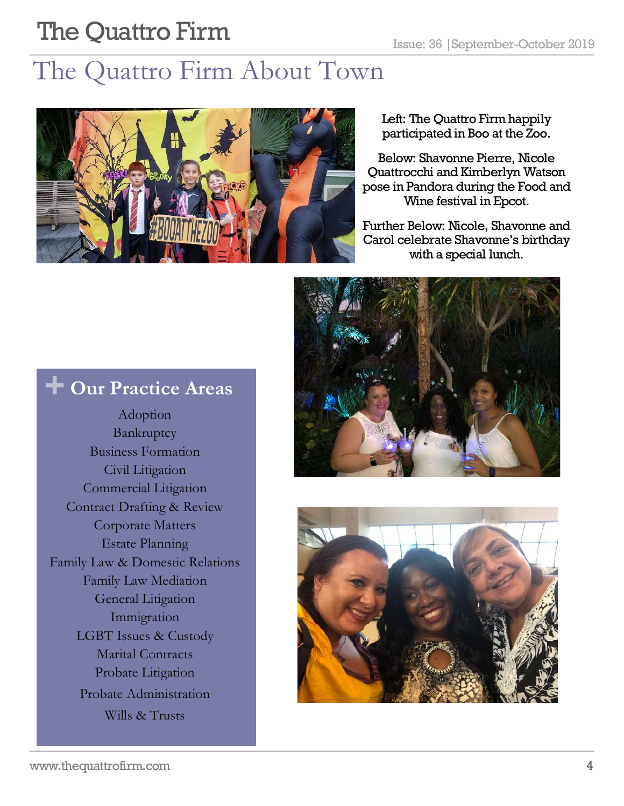### The Quattro Firm About Town

![](_page_3_Picture_3.jpeg)

Left: The Quattro Firm happily participated in Boo at the Zoo.

Below: Shavonne Pierre, Nicole Quattrocchi and Kimberlyn Watson pose in Pandora during the Food and Wine festival in Epcot.

Further Below: Nicole, Shavonne and Carol celebrate Shavonne's birthday with a special lunch.

![](_page_3_Picture_7.jpeg)

![](_page_3_Picture_8.jpeg)

### **+ Our Practice Areas**

Adoption Bankruptcy Business Formation Civil Litigation Commercial Litigation Contract Drafting & Review Corporate Matters Estate Planning Family Law & Domestic Relations Family Law Mediation General Litigation Immigration LGBT Issues & Custody Marital Contracts Probate Litigation Probate Administration Wills & Trusts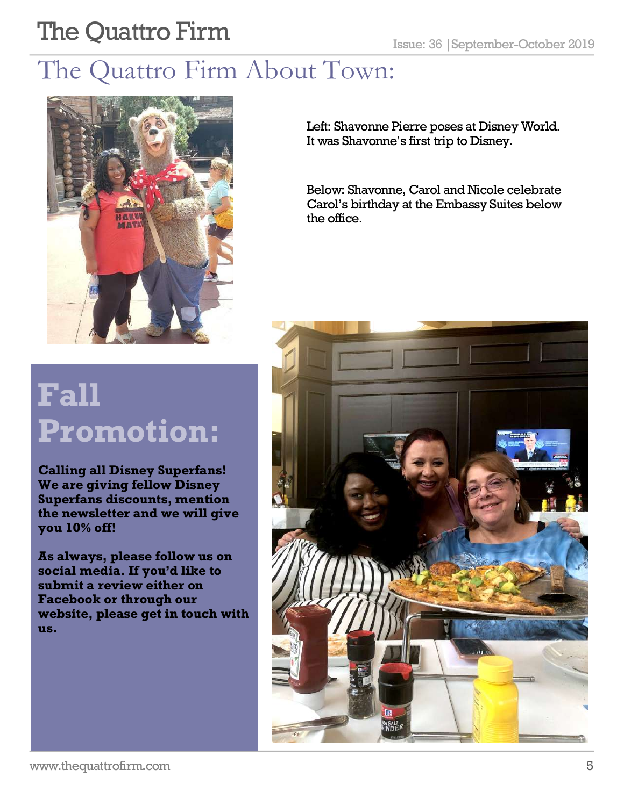## The Quattro Firm About Town:

![](_page_4_Picture_3.jpeg)

Left: Shavonne Pierre poses at Disney World. It was Shavonne's first trip to Disney.

Below: Shavonne, Carol and Nicole celebrate Carol's birthday at the Embassy Suites below the office.

![](_page_4_Picture_6.jpeg)

# **Fall Promotion:**

**Calling all Disney Superfans! We are giving fellow Disney Superfans discounts, mention the newsletter and we will give you 10% off!** 

**As always, please follow us on social media. If you'd like to submit a review either on Facebook or through our website, please get in touch with us.**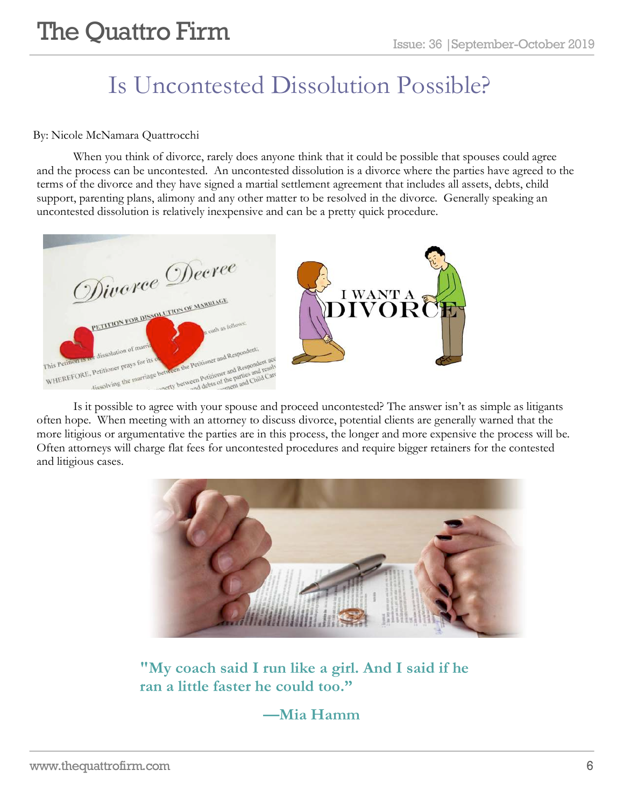### Is Uncontested Dissolution Possible?

#### By: Nicole McNamara Quattrocchi

When you think of divorce, rarely does anyone think that it could be possible that spouses could agree and the process can be uncontested. An uncontested dissolution is a divorce where the parties have agreed to the terms of the divorce and they have signed a martial settlement agreement that includes all assets, debts, child support, parenting plans, alimony and any other matter to be resolved in the divorce. Generally speaking an uncontested dissolution is relatively inexpensive and can be a pretty quick procedure.

![](_page_5_Picture_5.jpeg)

Is it possible to agree with your spouse and proceed uncontested? The answer isn't as simple as litigants often hope. When meeting with an attorney to discuss divorce, potential clients are generally warned that the more litigious or argumentative the parties are in this process, the longer and more expensive the process will be. Often attorneys will charge flat fees for uncontested procedures and require bigger retainers for the contested and litigious cases.

![](_page_5_Picture_7.jpeg)

**"My coach said I run like a girl. And I said if he ran a little faster he could too."** 

#### **—Mia Hamm**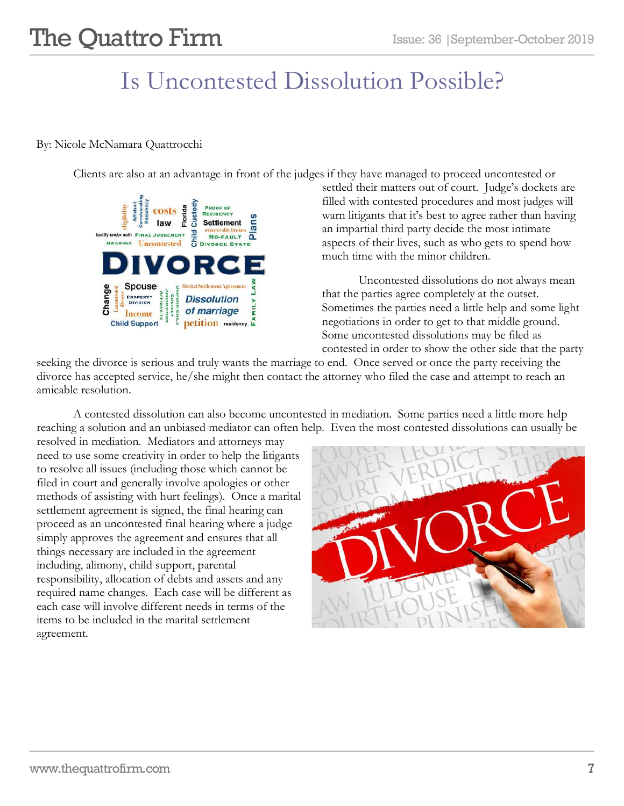### Is Uncontested Dissolution Possible?

#### By: Nicole McNamara Quattrocchi

Clients are also at an advantage in front of the judges if they have managed to proceed uncontested or

![](_page_6_Figure_5.jpeg)

settled their matters out of court. Judge's dockets are filled with contested procedures and most judges will warn litigants that it's best to agree rather than having an impartial third party decide the most intimate aspects of their lives, such as who gets to spend how much time with the minor children.

Uncontested dissolutions do not always mean that the parties agree completely at the outset. Sometimes the parties need a little help and some light negotiations in order to get to that middle ground. Some uncontested dissolutions may be filed as contested in order to show the other side that the party

seeking the divorce is serious and truly wants the marriage to end. Once served or once the party receiving the divorce has accepted service, he/she might then contact the attorney who filed the case and attempt to reach an amicable resolution.

A contested dissolution can also become uncontested in mediation. Some parties need a little more help reaching a solution and an unbiased mediator can often help. Even the most contested dissolutions can usually be

resolved in mediation. Mediators and attorneys may need to use some creativity in order to help the litigants to resolve all issues (including those which cannot be filed in court and generally involve apologies or other methods of assisting with hurt feelings). Once a marital settlement agreement is signed, the final hearing can proceed as an uncontested final hearing where a judge simply approves the agreement and ensures that all things necessary are included in the agreement including, alimony, child support, parental responsibility, allocation of debts and assets and any required name changes. Each case will be different as each case will involve different needs in terms of the items to be included in the marital settlement agreement.

![](_page_6_Picture_11.jpeg)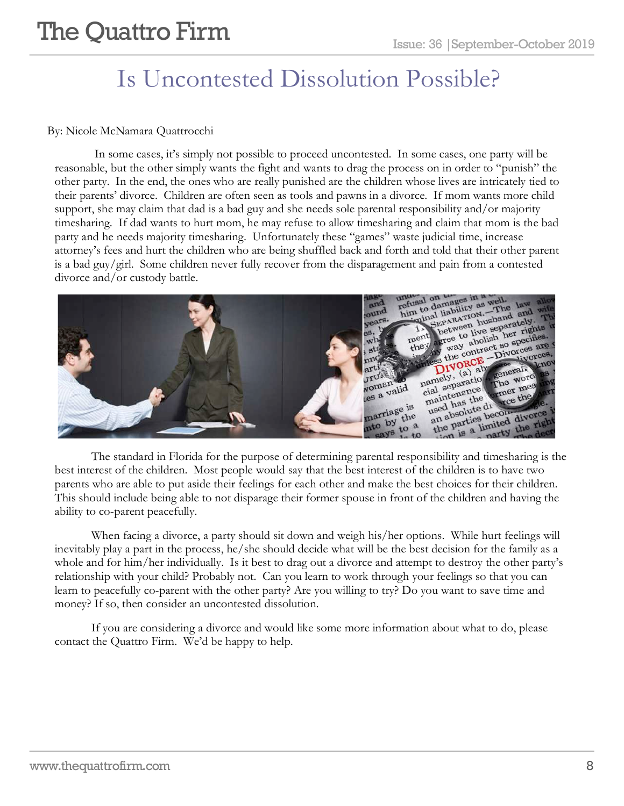### Is Uncontested Dissolution Possible?

#### By: Nicole McNamara Quattrocchi

In some cases, it's simply not possible to proceed uncontested. In some cases, one party will be reasonable, but the other simply wants the fight and wants to drag the process on in order to "punish" the other party. In the end, the ones who are really punished are the children whose lives are intricately tied to their parents' divorce. Children are often seen as tools and pawns in a divorce. If mom wants more child support, she may claim that dad is a bad guy and she needs sole parental responsibility and/or majority timesharing. If dad wants to hurt mom, he may refuse to allow timesharing and claim that mom is the bad party and he needs majority timesharing. Unfortunately these "games" waste judicial time, increase attorney's fees and hurt the children who are being shuffled back and forth and told that their other parent is a bad guy/girl. Some children never fully recover from the disparagement and pain from a contested divorce and/or custody battle.

![](_page_7_Picture_5.jpeg)

The standard in Florida for the purpose of determining parental responsibility and timesharing is the best interest of the children. Most people would say that the best interest of the children is to have two parents who are able to put aside their feelings for each other and make the best choices for their children. This should include being able to not disparage their former spouse in front of the children and having the ability to co-parent peacefully.

When facing a divorce, a party should sit down and weigh his/her options. While hurt feelings will inevitably play a part in the process, he/she should decide what will be the best decision for the family as a whole and for him/her individually. Is it best to drag out a divorce and attempt to destroy the other party's relationship with your child? Probably not. Can you learn to work through your feelings so that you can learn to peacefully co-parent with the other party? Are you willing to try? Do you want to save time and money? If so, then consider an uncontested dissolution.

If you are considering a divorce and would like some more information about what to do, please contact the Quattro Firm. We'd be happy to help.